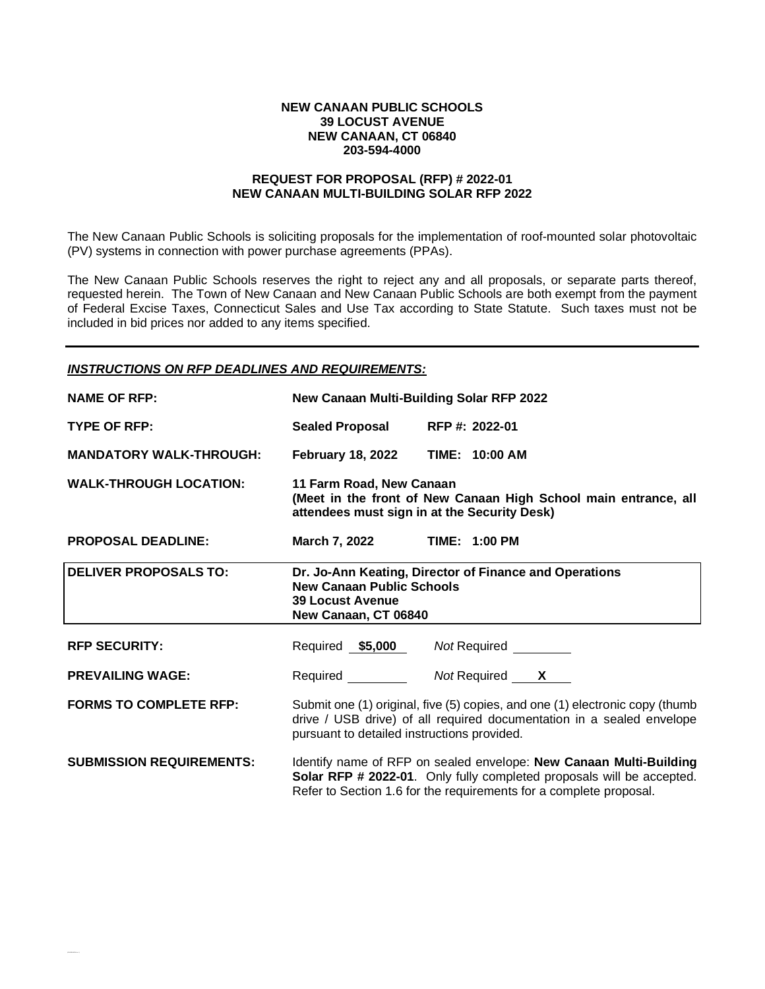#### **NEW CANAAN PUBLIC SCHOOLS 39 LOCUST AVENUE NEW CANAAN, CT 06840 203-594-4000**

## **REQUEST FOR PROPOSAL (RFP) # 2022-01 NEW CANAAN MULTI-BUILDING SOLAR RFP 2022**

The New Canaan Public Schools is soliciting proposals for the implementation of roof-mounted solar photovoltaic (PV) systems in connection with power purchase agreements (PPAs).

The New Canaan Public Schools reserves the right to reject any and all proposals, or separate parts thereof, requested herein. The Town of New Canaan and New Canaan Public Schools are both exempt from the payment of Federal Excise Taxes, Connecticut Sales and Use Tax according to State Statute. Such taxes must not be included in bid prices nor added to any items specified.

## *INSTRUCTIONS ON RFP DEADLINES AND REQUIREMENTS:*

| <b>NAME OF RFP:</b>             | New Canaan Multi-Building Solar RFP 2022                                                                                                      |                                                                                                                                                                                                                   |  |
|---------------------------------|-----------------------------------------------------------------------------------------------------------------------------------------------|-------------------------------------------------------------------------------------------------------------------------------------------------------------------------------------------------------------------|--|
| <b>TYPE OF RFP:</b>             | <b>Sealed Proposal</b>                                                                                                                        | RFP #: 2022-01                                                                                                                                                                                                    |  |
| <b>MANDATORY WALK-THROUGH:</b>  | <b>February 18, 2022</b>                                                                                                                      | TIME: 10:00 AM                                                                                                                                                                                                    |  |
| <b>WALK-THROUGH LOCATION:</b>   | 11 Farm Road, New Canaan<br>(Meet in the front of New Canaan High School main entrance, all<br>attendees must sign in at the Security Desk)   |                                                                                                                                                                                                                   |  |
| <b>PROPOSAL DEADLINE:</b>       | March 7, 2022 TIME: 1:00 PM                                                                                                                   |                                                                                                                                                                                                                   |  |
| <b>DELIVER PROPOSALS TO:</b>    | Dr. Jo-Ann Keating, Director of Finance and Operations<br><b>New Canaan Public Schools</b><br><b>39 Locust Avenue</b><br>New Canaan, CT 06840 |                                                                                                                                                                                                                   |  |
| <b>RFP SECURITY:</b>            |                                                                                                                                               | Required \$5,000 Not Required                                                                                                                                                                                     |  |
| <b>PREVAILING WAGE:</b>         |                                                                                                                                               | Required Mot Required X                                                                                                                                                                                           |  |
| <b>FORMS TO COMPLETE RFP:</b>   | pursuant to detailed instructions provided.                                                                                                   | Submit one (1) original, five (5) copies, and one (1) electronic copy (thumb<br>drive / USB drive) of all required documentation in a sealed envelope                                                             |  |
| <b>SUBMISSION REQUIREMENTS:</b> |                                                                                                                                               | Identify name of RFP on sealed envelope: New Canaan Multi-Building<br>Solar RFP # 2022-01. Only fully completed proposals will be accepted.<br>Refer to Section 1.6 for the requirements for a complete proposal. |  |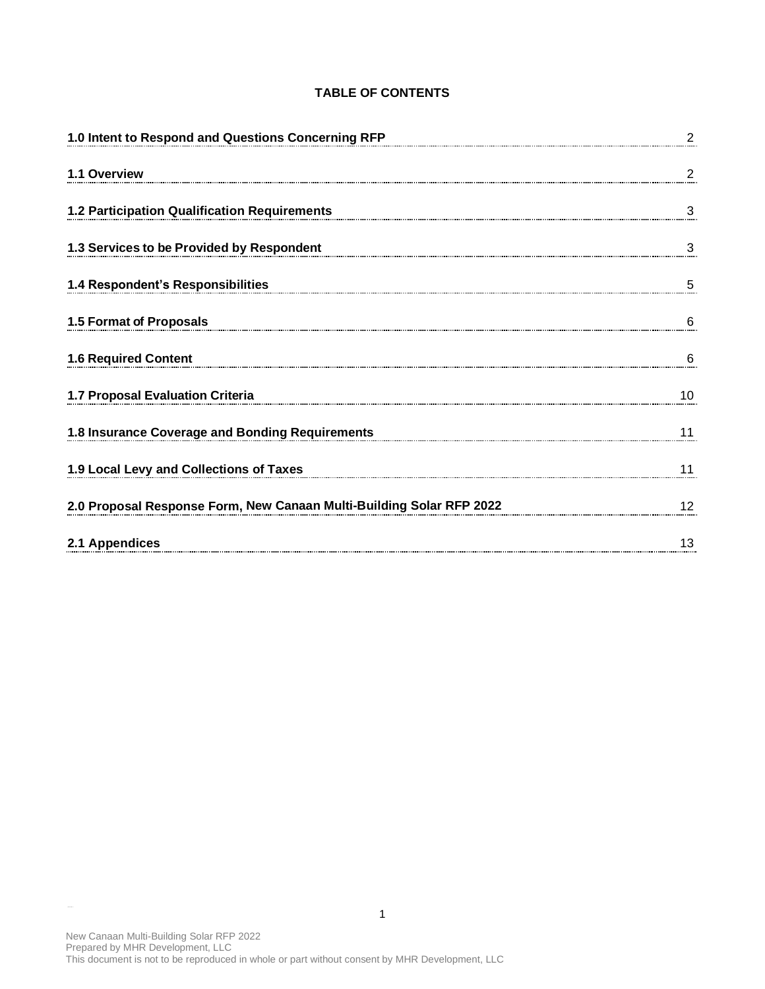## **TABLE OF CONTENTS**

| 1.0 Intent to Respond and Questions Concerning RFP                   | $\overline{2}$ |
|----------------------------------------------------------------------|----------------|
| 1.1 Overview                                                         | 2              |
| 1.2 Participation Qualification Requirements                         | 3              |
| 1.3 Services to be Provided by Respondent                            | 3              |
| 1.4 Respondent's Responsibilities                                    | 5              |
| 1.5 Format of Proposals                                              | 6              |
| <b>1.6 Required Content</b>                                          | 6              |
| 1.7 Proposal Evaluation Criteria                                     | 10             |
| 1.8 Insurance Coverage and Bonding Requirements                      | 11             |
| 1.9 Local Levy and Collections of Taxes                              | 11             |
| 2.0 Proposal Response Form, New Canaan Multi-Building Solar RFP 2022 | 12             |
| 2.1 Appendices                                                       | 13             |

 $\frac{1}{\sqrt{2}}$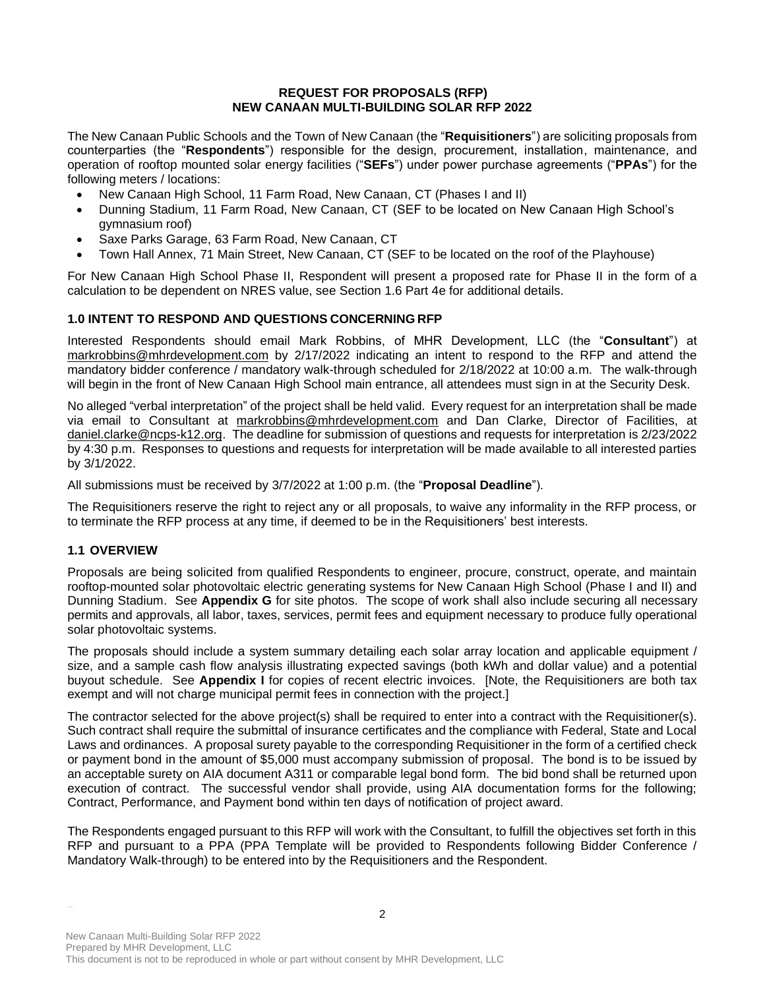### **REQUEST FOR PROPOSALS (RFP) NEW CANAAN MULTI-BUILDING SOLAR RFP 2022**

The New Canaan Public Schools and the Town of New Canaan (the "**Requisitioners**") are soliciting proposals from counterparties (the "**Respondents**") responsible for the design, procurement, installation, maintenance, and operation of rooftop mounted solar energy facilities ("**SEFs**") under power purchase agreements ("**PPAs**") for the following meters / locations:

- New Canaan High School, 11 Farm Road, New Canaan, CT (Phases I and II)
- Dunning Stadium, 11 Farm Road, New Canaan, CT (SEF to be located on New Canaan High School's gymnasium roof)
- Saxe Parks Garage, 63 Farm Road, New Canaan, CT
- Town Hall Annex, 71 Main Street, New Canaan, CT (SEF to be located on the roof of the Playhouse)

For New Canaan High School Phase II, Respondent will present a proposed rate for Phase II in the form of a calculation to be dependent on NRES value, see Section 1.6 Part 4e for additional details.

## **1.0 INTENT TO RESPOND AND QUESTIONS CONCERNING RFP**

Interested Respondents should email Mark Robbins, of MHR Development, LLC (the "**Consultant**") at [markrobbins@mhrdevelopment.com](mailto:markrobbins@mhrdevelopment.com) by 2/17/2022 indicating an intent to respond to the RFP and attend the mandatory bidder conference / mandatory walk-through scheduled for 2/18/2022 at 10:00 a.m. The walk-through will begin in the front of New Canaan High School main entrance, all attendees must sign in at the Security Desk.

No alleged "verbal interpretation" of the project shall be held valid. Every request for an interpretation shall be made via email to Consultant at [markrobbins@mhrdevelopment.com](mailto:markrobbins@mhrdevelopment.com) and Dan Clarke, Director of Facilities, at [daniel.clarke@ncps-k12.org.](mailto:daniel.clarke@ncps-k12.org) The deadline for submission of questions and requests for interpretation is 2/23/2022 by 4:30 p.m. Responses to questions and requests for interpretation will be made available to all interested parties by 3/1/2022.

All submissions must be received by 3/7/2022 at 1:00 p.m. (the "**Proposal Deadline**").

The Requisitioners reserve the right to reject any or all proposals, to waive any informality in the RFP process, or to terminate the RFP process at any time, if deemed to be in the Requisitioners' best interests.

## **1.1 OVERVIEW**

Proposals are being solicited from qualified Respondents to engineer, procure, construct, operate, and maintain rooftop-mounted solar photovoltaic electric generating systems for New Canaan High School (Phase I and II) and Dunning Stadium. See **Appendix G** for site photos. The scope of work shall also include securing all necessary permits and approvals, all labor, taxes, services, permit fees and equipment necessary to produce fully operational solar photovoltaic systems.

The proposals should include a system summary detailing each solar array location and applicable equipment / size, and a sample cash flow analysis illustrating expected savings (both kWh and dollar value) and a potential buyout schedule. See **Appendix I** for copies of recent electric invoices. [Note, the Requisitioners are both tax exempt and will not charge municipal permit fees in connection with the project.]

The contractor selected for the above project(s) shall be required to enter into a contract with the Requisitioner(s). Such contract shall require the submittal of insurance certificates and the compliance with Federal, State and Local Laws and ordinances. A proposal surety payable to the corresponding Requisitioner in the form of a certified check or payment bond in the amount of \$5,000 must accompany submission of proposal. The bond is to be issued by an acceptable surety on AIA document A311 or comparable legal bond form. The bid bond shall be returned upon execution of contract. The successful vendor shall provide, using AIA documentation forms for the following; Contract, Performance, and Payment bond within ten days of notification of project award.

The Respondents engaged pursuant to this RFP will work with the Consultant, to fulfill the objectives set forth in this RFP and pursuant to a PPA (PPA Template will be provided to Respondents following Bidder Conference / Mandatory Walk-through) to be entered into by the Requisitioners and the Respondent.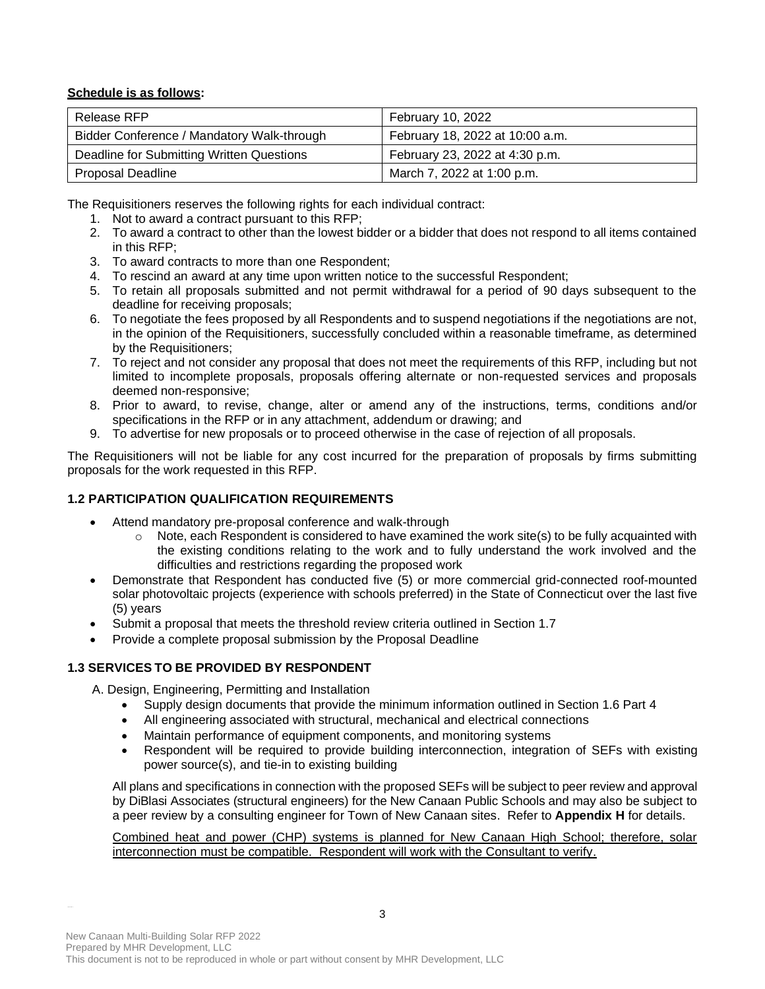## **Schedule is as follows:**

| Release RFP                                | February 10, 2022               |  |
|--------------------------------------------|---------------------------------|--|
| Bidder Conference / Mandatory Walk-through | February 18, 2022 at 10:00 a.m. |  |
| Deadline for Submitting Written Questions  | February 23, 2022 at 4:30 p.m.  |  |
| Proposal Deadline                          | March 7, 2022 at 1:00 p.m.      |  |

The Requisitioners reserves the following rights for each individual contract:

- 1. Not to award a contract pursuant to this RFP;
- 2. To award a contract to other than the lowest bidder or a bidder that does not respond to all items contained in this RFP;
- 3. To award contracts to more than one Respondent;
- 4. To rescind an award at any time upon written notice to the successful Respondent;
- 5. To retain all proposals submitted and not permit withdrawal for a period of 90 days subsequent to the deadline for receiving proposals;
- 6. To negotiate the fees proposed by all Respondents and to suspend negotiations if the negotiations are not, in the opinion of the Requisitioners, successfully concluded within a reasonable timeframe, as determined by the Requisitioners;
- 7. To reject and not consider any proposal that does not meet the requirements of this RFP, including but not limited to incomplete proposals, proposals offering alternate or non-requested services and proposals deemed non-responsive;
- 8. Prior to award, to revise, change, alter or amend any of the instructions, terms, conditions and/or specifications in the RFP or in any attachment, addendum or drawing; and
- 9. To advertise for new proposals or to proceed otherwise in the case of rejection of all proposals.

The Requisitioners will not be liable for any cost incurred for the preparation of proposals by firms submitting proposals for the work requested in this RFP.

# **1.2 PARTICIPATION QUALIFICATION REQUIREMENTS**

- Attend mandatory pre-proposal conference and walk-through
	- $\circ$  Note, each Respondent is considered to have examined the work site(s) to be fully acquainted with the existing conditions relating to the work and to fully understand the work involved and the difficulties and restrictions regarding the proposed work
- Demonstrate that Respondent has conducted five (5) or more commercial grid-connected roof-mounted solar photovoltaic projects (experience with schools preferred) in the State of Connecticut over the last five (5) years
- Submit a proposal that meets the threshold review criteria outlined in Section 1.7
- Provide a complete proposal submission by the Proposal Deadline

# **1.3 SERVICES TO BE PROVIDED BY RESPONDENT**

A. Design, Engineering, Permitting and Installation

- Supply design documents that provide the minimum information outlined in Section 1.6 Part 4
- All engineering associated with structural, mechanical and electrical connections
- Maintain performance of equipment components, and monitoring systems
- Respondent will be required to provide building interconnection, integration of SEFs with existing power source(s), and tie-in to existing building

All plans and specifications in connection with the proposed SEFs will be subject to peer review and approval by DiBlasi Associates (structural engineers) for the New Canaan Public Schools and may also be subject to a peer review by a consulting engineer for Town of New Canaan sites. Refer to **Appendix H** for details.

Combined heat and power (CHP) systems is planned for New Canaan High School; therefore, solar interconnection must be compatible. Respondent will work with the Consultant to verify.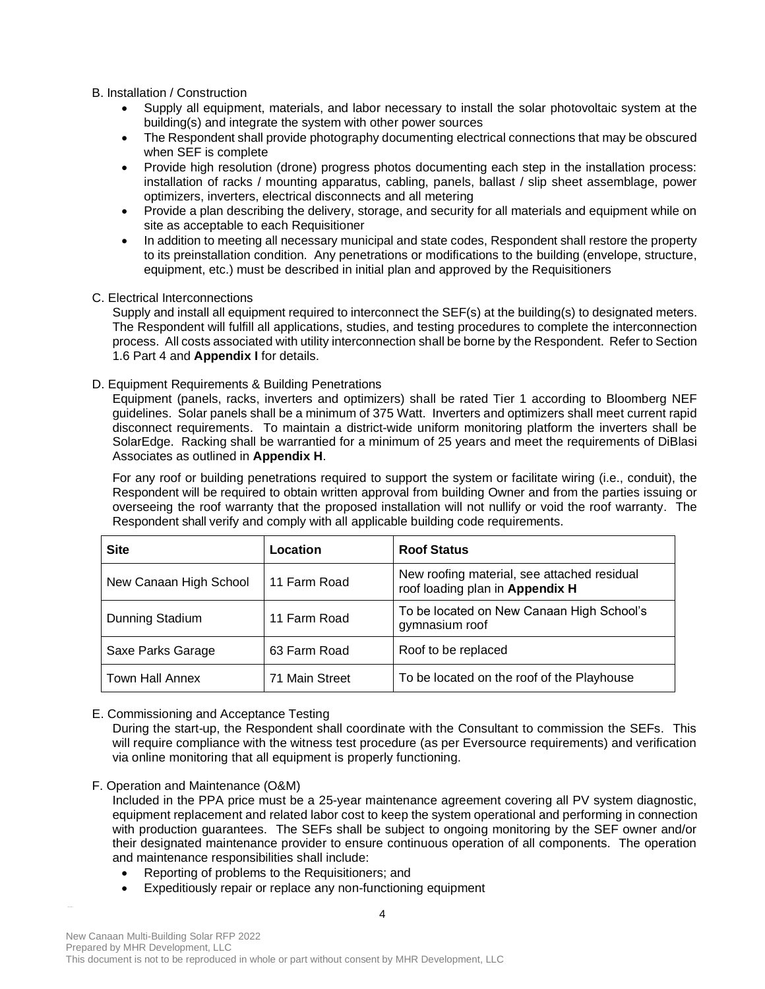## B. Installation / Construction

- Supply all equipment, materials, and labor necessary to install the solar photovoltaic system at the building(s) and integrate the system with other power sources
- The Respondent shall provide photography documenting electrical connections that may be obscured when SEF is complete
- Provide high resolution (drone) progress photos documenting each step in the installation process: installation of racks / mounting apparatus, cabling, panels, ballast / slip sheet assemblage, power optimizers, inverters, electrical disconnects and all metering
- Provide a plan describing the delivery, storage, and security for all materials and equipment while on site as acceptable to each Requisitioner
- In addition to meeting all necessary municipal and state codes, Respondent shall restore the property to its preinstallation condition. Any penetrations or modifications to the building (envelope, structure, equipment, etc.) must be described in initial plan and approved by the Requisitioners

## C. Electrical Interconnections

Supply and install all equipment required to interconnect the SEF(s) at the building(s) to designated meters. The Respondent will fulfill all applications, studies, and testing procedures to complete the interconnection process. All costs associated with utility interconnection shall be borne by the Respondent. Refer to Section 1.6 Part 4 and **Appendix I** for details.

## D. Equipment Requirements & Building Penetrations

Equipment (panels, racks, inverters and optimizers) shall be rated Tier 1 according to Bloomberg NEF guidelines. Solar panels shall be a minimum of 375 Watt. Inverters and optimizers shall meet current rapid disconnect requirements. To maintain a district-wide uniform monitoring platform the inverters shall be SolarEdge. Racking shall be warrantied for a minimum of 25 years and meet the requirements of DiBlasi Associates as outlined in **Appendix H**.

For any roof or building penetrations required to support the system or facilitate wiring (i.e., conduit), the Respondent will be required to obtain written approval from building Owner and from the parties issuing or overseeing the roof warranty that the proposed installation will not nullify or void the roof warranty. The Respondent shall verify and comply with all applicable building code requirements.

| <b>Site</b>            | Location       | <b>Roof Status</b>                                                             |
|------------------------|----------------|--------------------------------------------------------------------------------|
| New Canaan High School | 11 Farm Road   | New roofing material, see attached residual<br>roof loading plan in Appendix H |
| Dunning Stadium        | 11 Farm Road   | To be located on New Canaan High School's<br>gymnasium roof                    |
| Saxe Parks Garage      | 63 Farm Road   | Roof to be replaced                                                            |
| <b>Town Hall Annex</b> | 71 Main Street | To be located on the roof of the Playhouse                                     |

## E. Commissioning and Acceptance Testing

During the start-up, the Respondent shall coordinate with the Consultant to commission the SEFs. This will require compliance with the witness test procedure (as per Eversource requirements) and verification via online monitoring that all equipment is properly functioning.

F. Operation and Maintenance (O&M)

Included in the PPA price must be a 25-year maintenance agreement covering all PV system diagnostic, equipment replacement and related labor cost to keep the system operational and performing in connection with production guarantees. The SEFs shall be subject to ongoing monitoring by the SEF owner and/or their designated maintenance provider to ensure continuous operation of all components. The operation and maintenance responsibilities shall include:

- Reporting of problems to the Requisitioners; and
- Expeditiously repair or replace any non-functioning equipment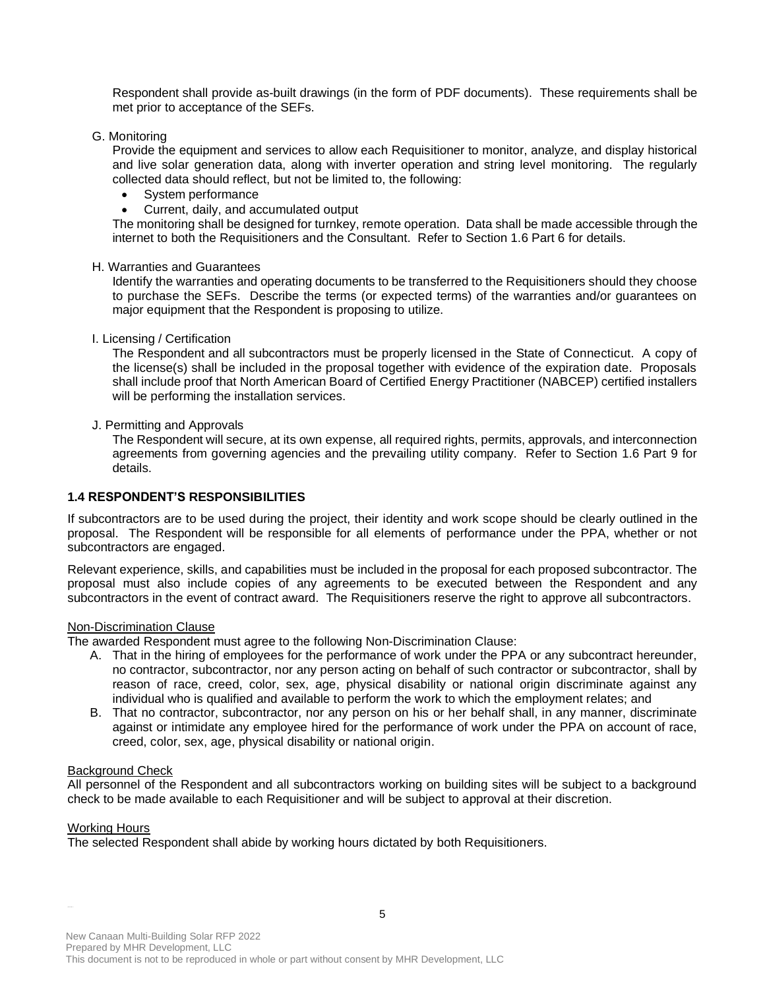Respondent shall provide as-built drawings (in the form of PDF documents). These requirements shall be met prior to acceptance of the SEFs.

G. Monitoring

Provide the equipment and services to allow each Requisitioner to monitor, analyze, and display historical and live solar generation data, along with inverter operation and string level monitoring. The regularly collected data should reflect, but not be limited to, the following:

- System performance
- Current, daily, and accumulated output

The monitoring shall be designed for turnkey, remote operation. Data shall be made accessible through the internet to both the Requisitioners and the Consultant. Refer to Section 1.6 Part 6 for details.

#### H. Warranties and Guarantees

Identify the warranties and operating documents to be transferred to the Requisitioners should they choose to purchase the SEFs. Describe the terms (or expected terms) of the warranties and/or guarantees on major equipment that the Respondent is proposing to utilize.

#### I. Licensing / Certification

The Respondent and all subcontractors must be properly licensed in the State of Connecticut. A copy of the license(s) shall be included in the proposal together with evidence of the expiration date. Proposals shall include proof that North American Board of Certified Energy Practitioner (NABCEP) certified installers will be performing the installation services.

#### J. Permitting and Approvals

The Respondent will secure, at its own expense, all required rights, permits, approvals, and interconnection agreements from governing agencies and the prevailing utility company. Refer to Section 1.6 Part 9 for details.

## **1.4 RESPONDENT'S RESPONSIBILITIES**

If subcontractors are to be used during the project, their identity and work scope should be clearly outlined in the proposal. The Respondent will be responsible for all elements of performance under the PPA, whether or not subcontractors are engaged.

Relevant experience, skills, and capabilities must be included in the proposal for each proposed subcontractor. The proposal must also include copies of any agreements to be executed between the Respondent and any subcontractors in the event of contract award. The Requisitioners reserve the right to approve all subcontractors.

#### Non-Discrimination Clause

The awarded Respondent must agree to the following Non-Discrimination Clause:

- A. That in the hiring of employees for the performance of work under the PPA or any subcontract hereunder, no contractor, subcontractor, nor any person acting on behalf of such contractor or subcontractor, shall by reason of race, creed, color, sex, age, physical disability or national origin discriminate against any individual who is qualified and available to perform the work to which the employment relates; and
- B. That no contractor, subcontractor, nor any person on his or her behalf shall, in any manner, discriminate against or intimidate any employee hired for the performance of work under the PPA on account of race, creed, color, sex, age, physical disability or national origin.

#### Background Check

All personnel of the Respondent and all subcontractors working on building sites will be subject to a background check to be made available to each Requisitioner and will be subject to approval at their discretion.

#### Working Hours

The selected Respondent shall abide by working hours dictated by both Requisitioners.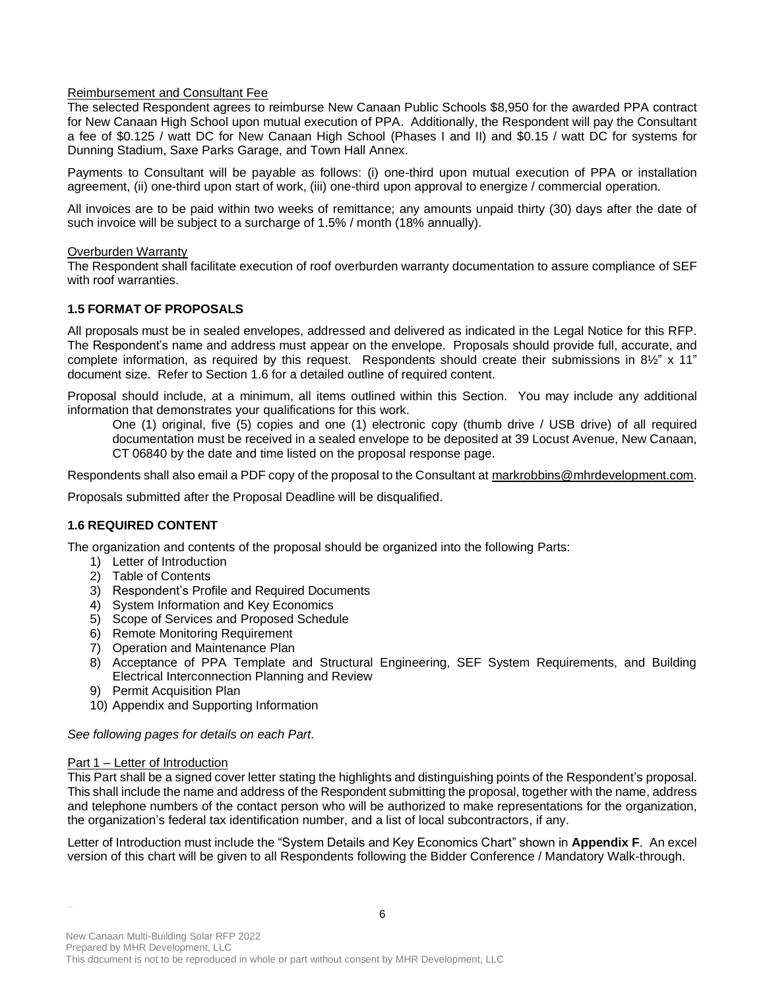## Reimbursement and Consultant Fee

The selected Respondent agrees to reimburse New Canaan Public Schools \$8,950 for the awarded PPA contract for New Canaan High School upon mutual execution of PPA. Additionally, the Respondent will pay the Consultant a fee of \$0.125 / watt DC for New Canaan High School (Phases I and II) and \$0.15 / watt DC for systems for Dunning Stadium, Saxe Parks Garage, and Town Hall Annex.

Payments to Consultant will be payable as follows: (i) one-third upon mutual execution of PPA or installation agreement, (ii) one-third upon start of work, (iii) one-third upon approval to energize / commercial operation.

All invoices are to be paid within two weeks of remittance; any amounts unpaid thirty (30) days after the date of such invoice will be subject to a surcharge of 1.5% / month (18% annually).

## Overburden Warranty

The Respondent shall facilitate execution of roof overburden warranty documentation to assure compliance of SEF with roof warranties.

## **1.5 FORMAT OF PROPOSALS**

All proposals must be in sealed envelopes, addressed and delivered as indicated in the Legal Notice for this RFP. The Respondent's name and address must appear on the envelope. Proposals should provide full, accurate, and complete information, as required by this request. Respondents should create their submissions in 8½" x 11" document size. Refer to Section 1.6 for a detailed outline of required content.

Proposal should include, at a minimum, all items outlined within this Section. You may include any additional information that demonstrates your qualifications for this work.

One (1) original, five (5) copies and one (1) electronic copy (thumb drive / USB drive) of all required documentation must be received in a sealed envelope to be deposited at 39 Locust Avenue, New Canaan, CT 06840 by the date and time listed on the proposal response page.

Respondents shall also email a PDF copy of the proposal to the Consultant at [markrobbins@mhrdevelopment.com.](mailto:markrobbins@mhrdevelopment.com)

Proposals submitted after the Proposal Deadline will be disqualified.

## **1.6 REQUIRED CONTENT**

The organization and contents of the proposal should be organized into the following Parts:

- 1) Letter of Introduction
- 2) Table of Contents
- 3) Respondent's Profile and Required Documents
- 4) System Information and Key Economics
- 5) Scope of Services and Proposed Schedule
- 6) Remote Monitoring Requirement
- 7) Operation and Maintenance Plan
- 8) Acceptance of PPA Template and Structural Engineering, SEF System Requirements, and Building Electrical Interconnection Planning and Review
- 9) Permit Acquisition Plan
- 10) Appendix and Supporting Information

## *See following pages for details on each Part.*

## Part 1 – Letter of Introduction

This Part shall be a signed cover letter stating the highlights and distinguishing points of the Respondent's proposal. This shall include the name and address of the Respondent submitting the proposal, together with the name, address and telephone numbers of the contact person who will be authorized to make representations for the organization, the organization's federal tax identification number, and a list of local subcontractors, if any.

Letter of Introduction must include the "System Details and Key Economics Chart" shown in **Appendix F**. An excel version of this chart will be given to all Respondents following the Bidder Conference / Mandatory Walk-through.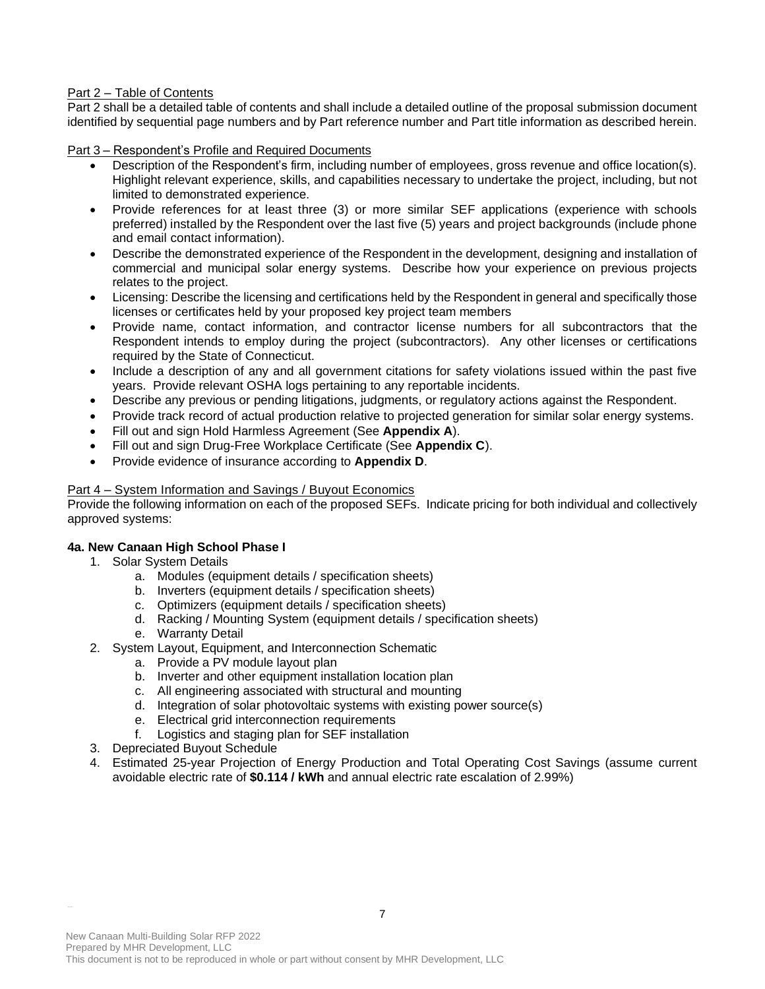## Part 2 – Table of Contents

Part 2 shall be a detailed table of contents and shall include a detailed outline of the proposal submission document identified by sequential page numbers and by Part reference number and Part title information as described herein.

Part 3 – Respondent's Profile and Required Documents

- Description of the Respondent's firm, including number of employees, gross revenue and office location(s). Highlight relevant experience, skills, and capabilities necessary to undertake the project, including, but not limited to demonstrated experience.
- Provide references for at least three (3) or more similar SEF applications (experience with schools preferred) installed by the Respondent over the last five (5) years and project backgrounds (include phone and email contact information).
- Describe the demonstrated experience of the Respondent in the development, designing and installation of commercial and municipal solar energy systems. Describe how your experience on previous projects relates to the project.
- Licensing: Describe the licensing and certifications held by the Respondent in general and specifically those licenses or certificates held by your proposed key project team members
- Provide name, contact information, and contractor license numbers for all subcontractors that the Respondent intends to employ during the project (subcontractors). Any other licenses or certifications required by the State of Connecticut.
- Include a description of any and all government citations for safety violations issued within the past five years. Provide relevant OSHA logs pertaining to any reportable incidents.
- Describe any previous or pending litigations, judgments, or regulatory actions against the Respondent.
- Provide track record of actual production relative to projected generation for similar solar energy systems.
- Fill out and sign Hold Harmless Agreement (See **Appendix A**).
- Fill out and sign Drug-Free Workplace Certificate (See **Appendix C**).
- Provide evidence of insurance according to **Appendix D**.

## Part 4 – System Information and Savings / Buyout Economics

Provide the following information on each of the proposed SEFs. Indicate pricing for both individual and collectively approved systems:

## **4a. New Canaan High School Phase I**

- 1. Solar System Details
	- a. Modules (equipment details / specification sheets)
	- b. Inverters (equipment details / specification sheets)
	- c. Optimizers (equipment details / specification sheets)
	- d. Racking / Mounting System (equipment details / specification sheets)
	- e. Warranty Detail
- 2. System Layout, Equipment, and Interconnection Schematic
	- a. Provide a PV module layout plan
	- b. Inverter and other equipment installation location plan
	- c. All engineering associated with structural and mounting
	- d. Integration of solar photovoltaic systems with existing power source(s)
	- e. Electrical grid interconnection requirements
	- f. Logistics and staging plan for SEF installation
- 3. Depreciated Buyout Schedule
- 4. Estimated 25-year Projection of Energy Production and Total Operating Cost Savings (assume current avoidable electric rate of **\$0.114 / kWh** and annual electric rate escalation of 2.99%)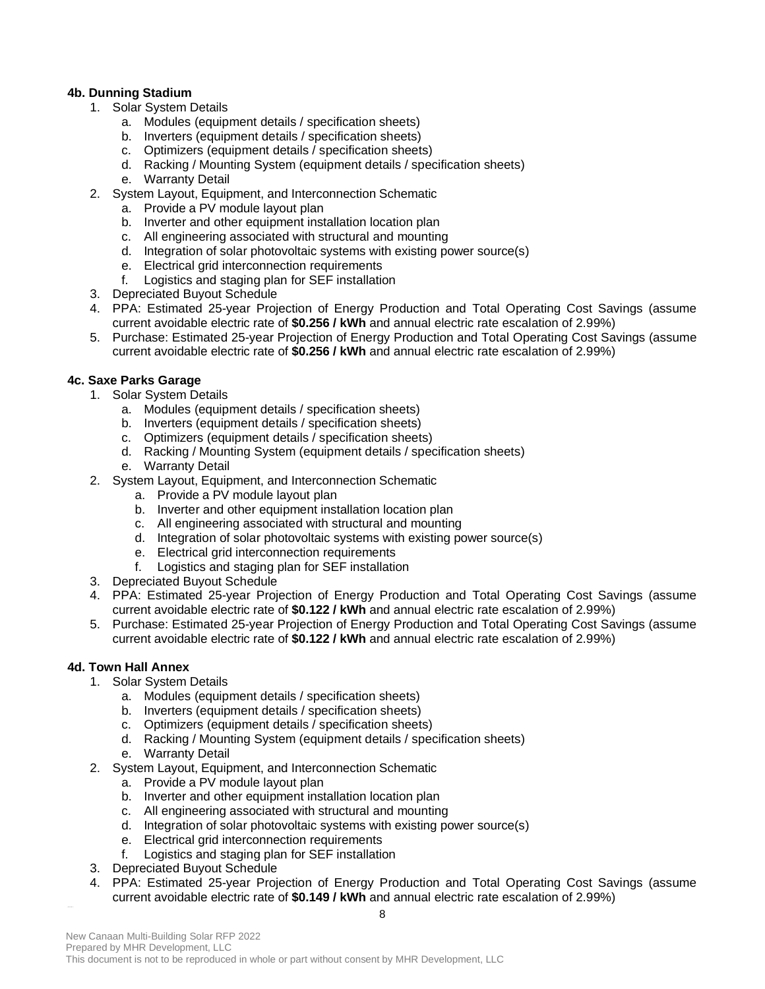## **4b. Dunning Stadium**

- 1. Solar System Details
	- a. Modules (equipment details / specification sheets)
	- b. Inverters (equipment details / specification sheets)
	- c. Optimizers (equipment details / specification sheets)
	- d. Racking / Mounting System (equipment details / specification sheets)
	- e. Warranty Detail
- 2. System Layout, Equipment, and Interconnection Schematic
	- a. Provide a PV module layout plan
	- b. Inverter and other equipment installation location plan
	- c. All engineering associated with structural and mounting
	- d. Integration of solar photovoltaic systems with existing power source(s)
	- e. Electrical grid interconnection requirements
	- f. Logistics and staging plan for SEF installation
- 3. Depreciated Buyout Schedule
- 4. PPA: Estimated 25-year Projection of Energy Production and Total Operating Cost Savings (assume current avoidable electric rate of **\$0.256 / kWh** and annual electric rate escalation of 2.99%)
- 5. Purchase: Estimated 25-year Projection of Energy Production and Total Operating Cost Savings (assume current avoidable electric rate of **\$0.256 / kWh** and annual electric rate escalation of 2.99%)

## **4c. Saxe Parks Garage**

- 1. Solar System Details
	- a. Modules (equipment details / specification sheets)
	- b. Inverters (equipment details / specification sheets)
	- c. Optimizers (equipment details / specification sheets)
	- d. Racking / Mounting System (equipment details / specification sheets)
	- e. Warranty Detail
- 2. System Layout, Equipment, and Interconnection Schematic
	- a. Provide a PV module layout plan
	- b. Inverter and other equipment installation location plan
	- c. All engineering associated with structural and mounting
	- d. Integration of solar photovoltaic systems with existing power source(s)
	- e. Electrical grid interconnection requirements
	- f. Logistics and staging plan for SEF installation
- 3. Depreciated Buyout Schedule
- 4. PPA: Estimated 25-year Projection of Energy Production and Total Operating Cost Savings (assume current avoidable electric rate of **\$0.122 / kWh** and annual electric rate escalation of 2.99%)
- 5. Purchase: Estimated 25-year Projection of Energy Production and Total Operating Cost Savings (assume current avoidable electric rate of **\$0.122 / kWh** and annual electric rate escalation of 2.99%)

# **4d. Town Hall Annex**

- 1. Solar System Details
	- a. Modules (equipment details / specification sheets)
	- b. Inverters (equipment details / specification sheets)
	- c. Optimizers (equipment details / specification sheets)
	- d. Racking / Mounting System (equipment details / specification sheets)
	- e. Warranty Detail
- 2. System Layout, Equipment, and Interconnection Schematic
	- a. Provide a PV module layout plan
	- b. Inverter and other equipment installation location plan
	- c. All engineering associated with structural and mounting
	- d. Integration of solar photovoltaic systems with existing power source(s)
	- e. Electrical grid interconnection requirements
	- f. Logistics and staging plan for SEF installation
- 3. Depreciated Buyout Schedule
- 4. PPA: Estimated 25-year Projection of Energy Production and Total Operating Cost Savings (assume current avoidable electric rate of **\$0.149 / kWh** and annual electric rate escalation of 2.99%)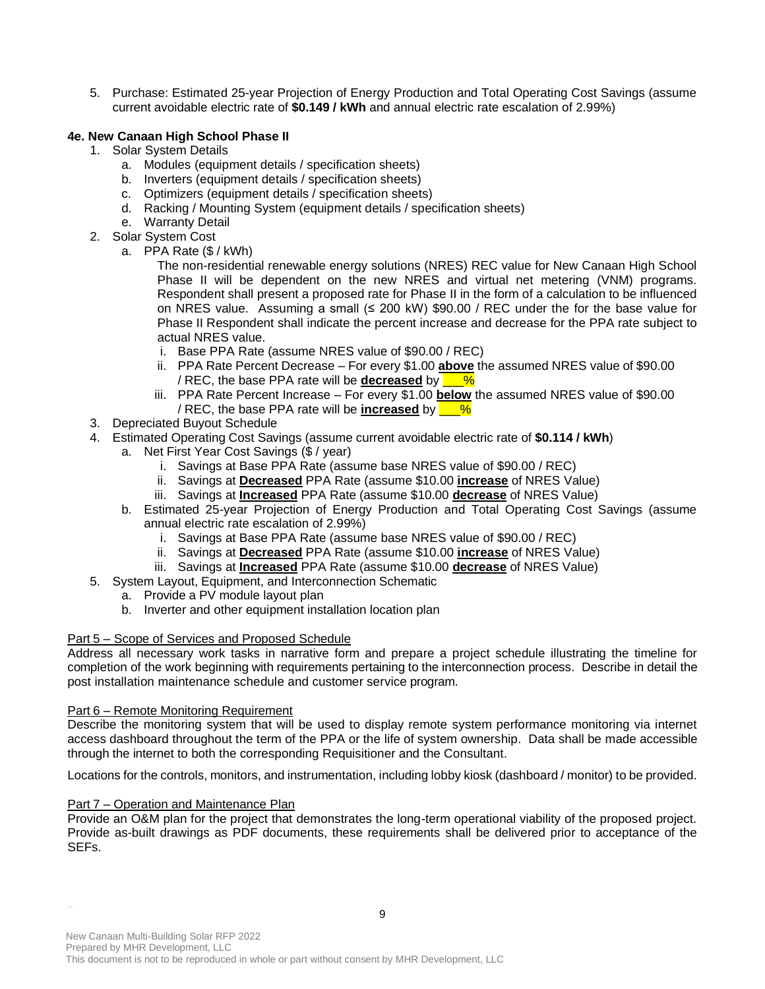5. Purchase: Estimated 25-year Projection of Energy Production and Total Operating Cost Savings (assume current avoidable electric rate of **\$0.149 / kWh** and annual electric rate escalation of 2.99%)

# **4e. New Canaan High School Phase II**

- 1. Solar System Details
	- a. Modules (equipment details / specification sheets)
	- b. Inverters (equipment details / specification sheets)
	- c. Optimizers (equipment details / specification sheets)
	- d. Racking / Mounting System (equipment details / specification sheets)
	- e. Warranty Detail
- 2. Solar System Cost
	- a. PPA Rate (\$ / kWh)
		- The non-residential renewable energy solutions (NRES) REC value for New Canaan High School Phase II will be dependent on the new NRES and virtual net metering (VNM) programs. Respondent shall present a proposed rate for Phase II in the form of a calculation to be influenced on NRES value. Assuming a small (≤ 200 kW) \$90.00 / REC under the for the base value for Phase II Respondent shall indicate the percent increase and decrease for the PPA rate subject to actual NRES value.
		- i. Base PPA Rate (assume NRES value of \$90.00 / REC)
		- ii. PPA Rate Percent Decrease For every \$1.00 **above** the assumed NRES value of \$90.00 / REC, the base PPA rate will be **decreased** by  $\frac{1}{8}$
		- iii. PPA Rate Percent Increase For every \$1.00 **below** the assumed NRES value of \$90.00 / REC, the base PPA rate will be **increased** by  $\frac{1}{8}$
- 3. Depreciated Buyout Schedule
- 4. Estimated Operating Cost Savings (assume current avoidable electric rate of **\$0.114 / kWh**)
	- a. Net First Year Cost Savings (\$ / year)
		- i. Savings at Base PPA Rate (assume base NRES value of \$90.00 / REC)
		- ii. Savings at **Decreased** PPA Rate (assume \$10.00 **increase** of NRES Value)
		- iii. Savings at **Increased** PPA Rate (assume \$10.00 **decrease** of NRES Value)
	- b. Estimated 25-year Projection of Energy Production and Total Operating Cost Savings (assume annual electric rate escalation of 2.99%)
		- i. Savings at Base PPA Rate (assume base NRES value of \$90.00 / REC)
		- ii. Savings at **Decreased** PPA Rate (assume \$10.00 **increase** of NRES Value)
		- iii. Savings at **Increased** PPA Rate (assume \$10.00 **decrease** of NRES Value)
- 5. System Layout, Equipment, and Interconnection Schematic
	- a. Provide a PV module layout plan
	- b. Inverter and other equipment installation location plan

## Part 5 – Scope of Services and Proposed Schedule

Address all necessary work tasks in narrative form and prepare a project schedule illustrating the timeline for completion of the work beginning with requirements pertaining to the interconnection process. Describe in detail the post installation maintenance schedule and customer service program.

## Part 6 – Remote Monitoring Requirement

Describe the monitoring system that will be used to display remote system performance monitoring via internet access dashboard throughout the term of the PPA or the life of system ownership. Data shall be made accessible through the internet to both the corresponding Requisitioner and the Consultant.

Locations for the controls, monitors, and instrumentation, including lobby kiosk (dashboard / monitor) to be provided.

## Part 7 – Operation and Maintenance Plan

Provide an O&M plan for the project that demonstrates the long-term operational viability of the proposed project. Provide as-built drawings as PDF documents, these requirements shall be delivered prior to acceptance of the SEFs.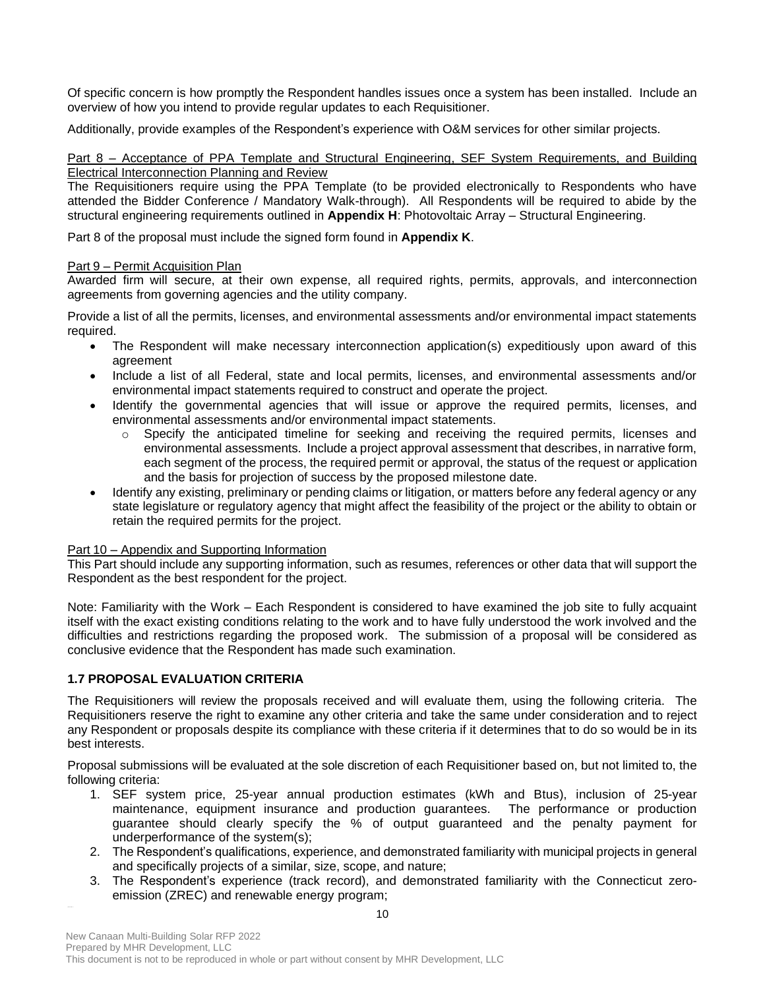Of specific concern is how promptly the Respondent handles issues once a system has been installed. Include an overview of how you intend to provide regular updates to each Requisitioner.

Additionally, provide examples of the Respondent's experience with O&M services for other similar projects.

Part 8 – Acceptance of PPA Template and Structural Engineering, SEF System Requirements, and Building Electrical Interconnection Planning and Review

The Requisitioners require using the PPA Template (to be provided electronically to Respondents who have attended the Bidder Conference / Mandatory Walk-through). All Respondents will be required to abide by the structural engineering requirements outlined in **Appendix H**: Photovoltaic Array – Structural Engineering.

Part 8 of the proposal must include the signed form found in **Appendix K**.

## Part 9 – Permit Acquisition Plan

Awarded firm will secure, at their own expense, all required rights, permits, approvals, and interconnection agreements from governing agencies and the utility company.

Provide a list of all the permits, licenses, and environmental assessments and/or environmental impact statements required.

- The Respondent will make necessary interconnection application(s) expeditiously upon award of this agreement
- Include a list of all Federal, state and local permits, licenses, and environmental assessments and/or environmental impact statements required to construct and operate the project.
- Identify the governmental agencies that will issue or approve the required permits, licenses, and environmental assessments and/or environmental impact statements.
	- $\circ$  Specify the anticipated timeline for seeking and receiving the required permits, licenses and environmental assessments. Include a project approval assessment that describes, in narrative form, each segment of the process, the required permit or approval, the status of the request or application and the basis for projection of success by the proposed milestone date.
- Identify any existing, preliminary or pending claims or litigation, or matters before any federal agency or any state legislature or regulatory agency that might affect the feasibility of the project or the ability to obtain or retain the required permits for the project.

## Part 10 – Appendix and Supporting Information

This Part should include any supporting information, such as resumes, references or other data that will support the Respondent as the best respondent for the project.

Note: Familiarity with the Work – Each Respondent is considered to have examined the job site to fully acquaint itself with the exact existing conditions relating to the work and to have fully understood the work involved and the difficulties and restrictions regarding the proposed work. The submission of a proposal will be considered as conclusive evidence that the Respondent has made such examination.

## **1.7 PROPOSAL EVALUATION CRITERIA**

The Requisitioners will review the proposals received and will evaluate them, using the following criteria. The Requisitioners reserve the right to examine any other criteria and take the same under consideration and to reject any Respondent or proposals despite its compliance with these criteria if it determines that to do so would be in its best interests.

Proposal submissions will be evaluated at the sole discretion of each Requisitioner based on, but not limited to, the following criteria:

- 1. SEF system price, 25-year annual production estimates (kWh and Btus), inclusion of 25-year maintenance, equipment insurance and production guarantees. The performance or production guarantee should clearly specify the % of output guaranteed and the penalty payment for underperformance of the system(s);
- 2. The Respondent's qualifications, experience, and demonstrated familiarity with municipal projects in general and specifically projects of a similar, size, scope, and nature;
- 3. The Respondent's experience (track record), and demonstrated familiarity with the Connecticut zeroemission (ZREC) and renewable energy program;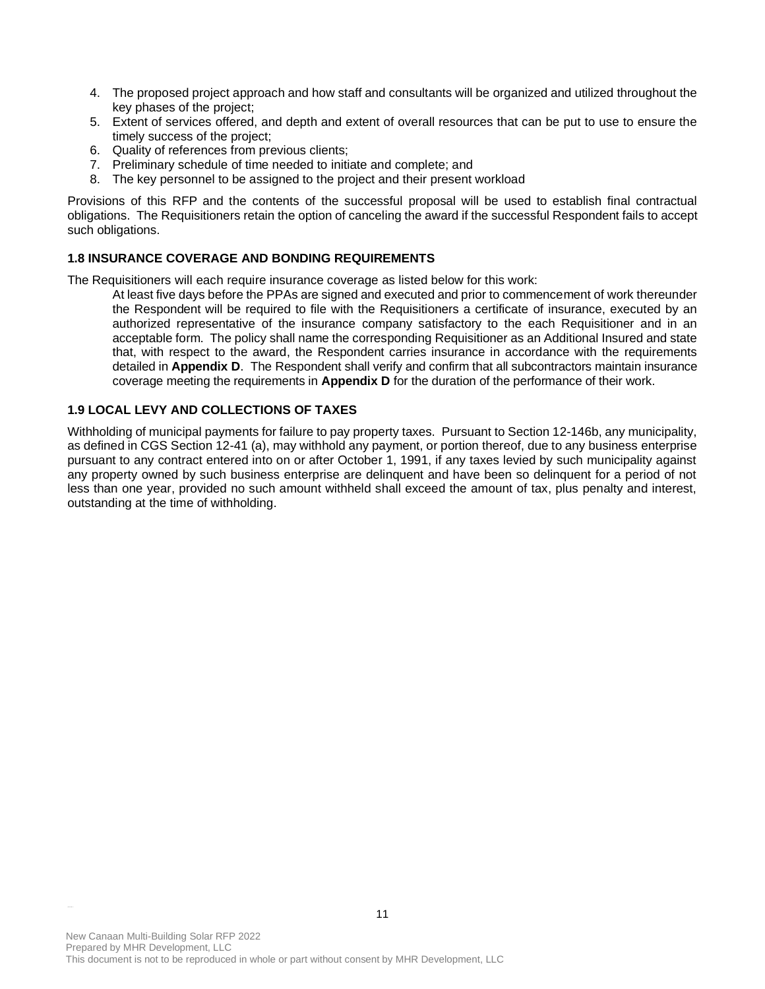- 4. The proposed project approach and how staff and consultants will be organized and utilized throughout the key phases of the project;
- 5. Extent of services offered, and depth and extent of overall resources that can be put to use to ensure the timely success of the project;
- 6. Quality of references from previous clients;
- 7. Preliminary schedule of time needed to initiate and complete; and
- 8. The key personnel to be assigned to the project and their present workload

Provisions of this RFP and the contents of the successful proposal will be used to establish final contractual obligations. The Requisitioners retain the option of canceling the award if the successful Respondent fails to accept such obligations.

## **1.8 INSURANCE COVERAGE AND BONDING REQUIREMENTS**

The Requisitioners will each require insurance coverage as listed below for this work:

At least five days before the PPAs are signed and executed and prior to commencement of work thereunder the Respondent will be required to file with the Requisitioners a certificate of insurance, executed by an authorized representative of the insurance company satisfactory to the each Requisitioner and in an acceptable form. The policy shall name the corresponding Requisitioner as an Additional Insured and state that, with respect to the award, the Respondent carries insurance in accordance with the requirements detailed in **Appendix D**. The Respondent shall verify and confirm that all subcontractors maintain insurance coverage meeting the requirements in **Appendix D** for the duration of the performance of their work.

## **1.9 LOCAL LEVY AND COLLECTIONS OF TAXES**

Withholding of municipal payments for failure to pay property taxes. Pursuant to Section 12-146b, any municipality, as defined in CGS Section 12-41 (a), may withhold any payment, or portion thereof, due to any business enterprise pursuant to any contract entered into on or after October 1, 1991, if any taxes levied by such municipality against any property owned by such business enterprise are delinquent and have been so delinquent for a period of not less than one year, provided no such amount withheld shall exceed the amount of tax, plus penalty and interest, outstanding at the time of withholding.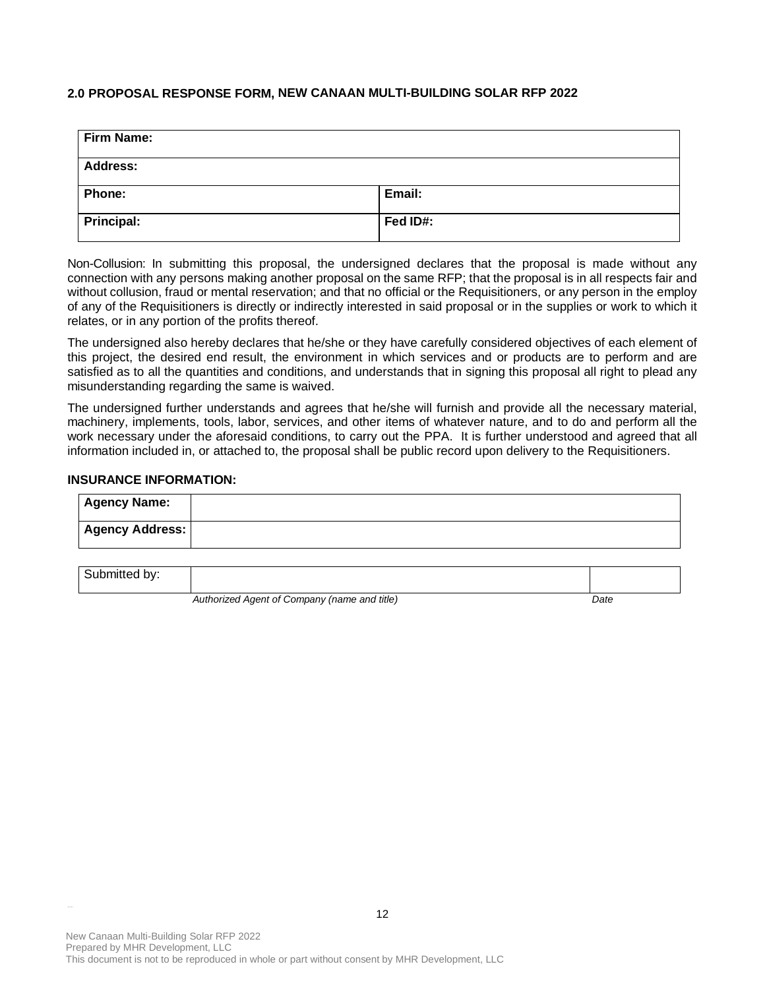## **2.0 PROPOSAL RESPONSE FORM, NEW CANAAN MULTI-BUILDING SOLAR RFP 2022**

| <b>Firm Name:</b> |          |  |
|-------------------|----------|--|
| <b>Address:</b>   |          |  |
| Phone:            | Email:   |  |
| Principal:        | Fed ID#: |  |

Non-Collusion: In submitting this proposal, the undersigned declares that the proposal is made without any connection with any persons making another proposal on the same RFP; that the proposal is in all respects fair and without collusion, fraud or mental reservation; and that no official or the Requisitioners, or any person in the employ of any of the Requisitioners is directly or indirectly interested in said proposal or in the supplies or work to which it relates, or in any portion of the profits thereof.

The undersigned also hereby declares that he/she or they have carefully considered objectives of each element of this project, the desired end result, the environment in which services and or products are to perform and are satisfied as to all the quantities and conditions, and understands that in signing this proposal all right to plead any misunderstanding regarding the same is waived.

The undersigned further understands and agrees that he/she will furnish and provide all the necessary material, machinery, implements, tools, labor, services, and other items of whatever nature, and to do and perform all the work necessary under the aforesaid conditions, to carry out the PPA. It is further understood and agreed that all information included in, or attached to, the proposal shall be public record upon delivery to the Requisitioners.

#### **INSURANCE INFORMATION:**

| <b>Agency Name:</b>    |  |
|------------------------|--|
| <b>Agency Address:</b> |  |
|                        |  |
| Submitted by:          |  |

*Authorized Agent of Company (name and title) Date*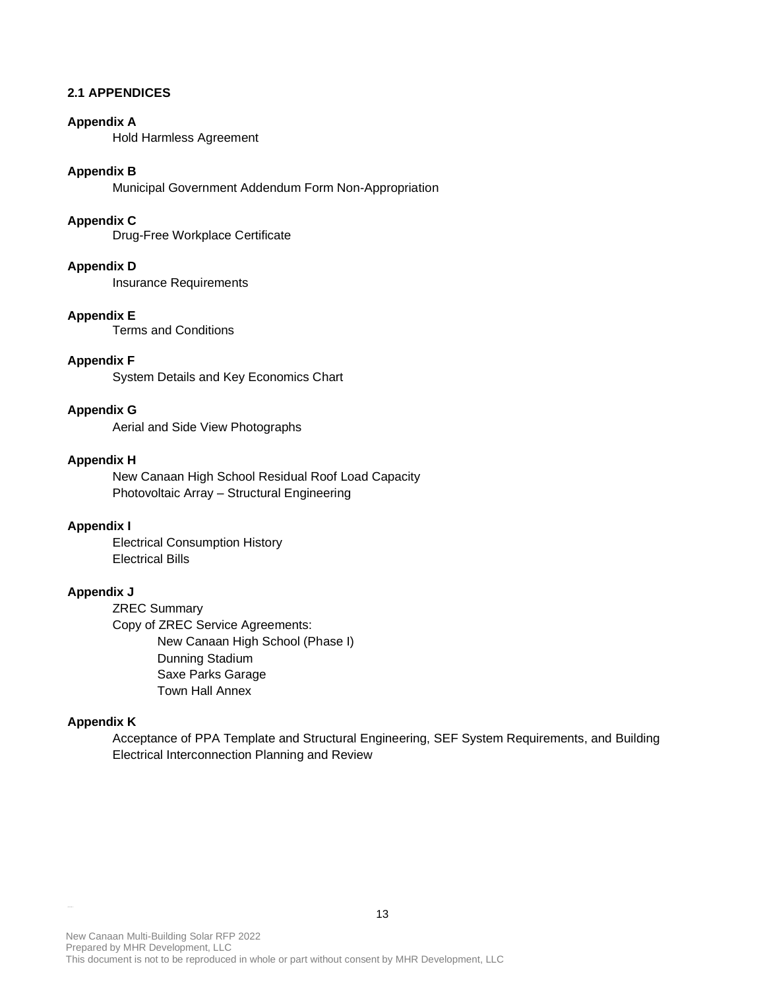## **2.1 APPENDICES**

## **Appendix A**

Hold Harmless Agreement

## **Appendix B**

Municipal Government Addendum Form Non-Appropriation

## **Appendix C**

Drug-Free Workplace Certificate

#### **Appendix D**

Insurance Requirements

#### **Appendix E**

Terms and Conditions

# **Appendix F**

System Details and Key Economics Chart

#### **Appendix G**

Aerial and Side View Photographs

## **Appendix H**

New Canaan High School Residual Roof Load Capacity Photovoltaic Array – Structural Engineering

## **Appendix I**

Electrical Consumption History Electrical Bills

## **Appendix J**

ZREC Summary Copy of ZREC Service Agreements: New Canaan High School (Phase I) Dunning Stadium Saxe Parks Garage Town Hall Annex

## **Appendix K**

Acceptance of PPA Template and Structural Engineering, SEF System Requirements, and Building Electrical Interconnection Planning and Review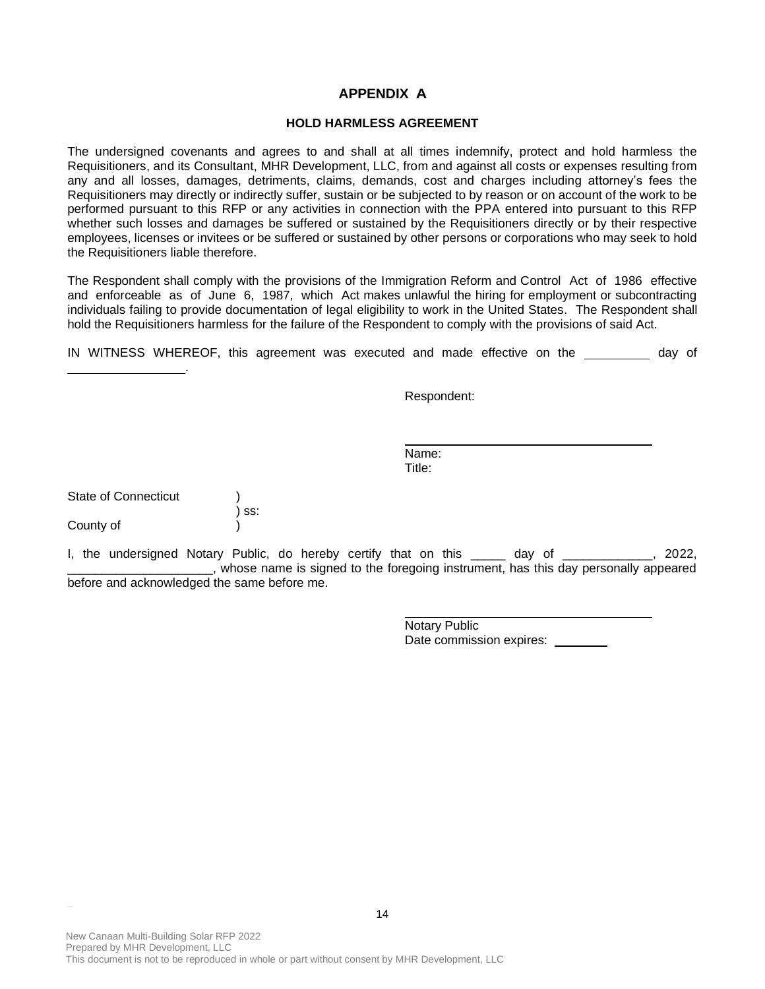## **APPENDIX A**

## **HOLD HARMLESS AGREEMENT**

The undersigned covenants and agrees to and shall at all times indemnify, protect and hold harmless the Requisitioners, and its Consultant, MHR Development, LLC, from and against all costs or expenses resulting from any and all losses, damages, detriments, claims, demands, cost and charges including attorney's fees the Requisitioners may directly or indirectly suffer, sustain or be subjected to by reason or on account of the work to be performed pursuant to this RFP or any activities in connection with the PPA entered into pursuant to this RFP whether such losses and damages be suffered or sustained by the Requisitioners directly or by their respective employees, licenses or invitees or be suffered or sustained by other persons or corporations who may seek to hold the Requisitioners liable therefore.

The Respondent shall comply with the provisions of the Immigration Reform and Control Act of 1986 effective and enforceable as of June 6, 1987, which Act makes unlawful the hiring for employment or subcontracting individuals failing to provide documentation of legal eligibility to work in the United States. The Respondent shall hold the Requisitioners harmless for the failure of the Respondent to comply with the provisions of said Act.

IN WITNESS WHEREOF, this agreement was executed and made effective on the day of

Respondent:

Name: Title:

| <b>State of Connecticut</b> |         |
|-----------------------------|---------|
|                             | $)$ ss: |
| County of                   |         |

.

I, the undersigned Notary Public, do hereby certify that on this \_\_\_\_\_ day of \_\_\_\_\_\_\_\_\_\_\_, 2022, \_\_\_\_\_\_\_\_\_\_\_\_\_\_\_\_\_\_\_\_\_, whose name is signed to the foregoing instrument, has this day personally appeared before and acknowledged the same before me.

> Notary Public Date commission expires: \_\_\_\_\_\_\_\_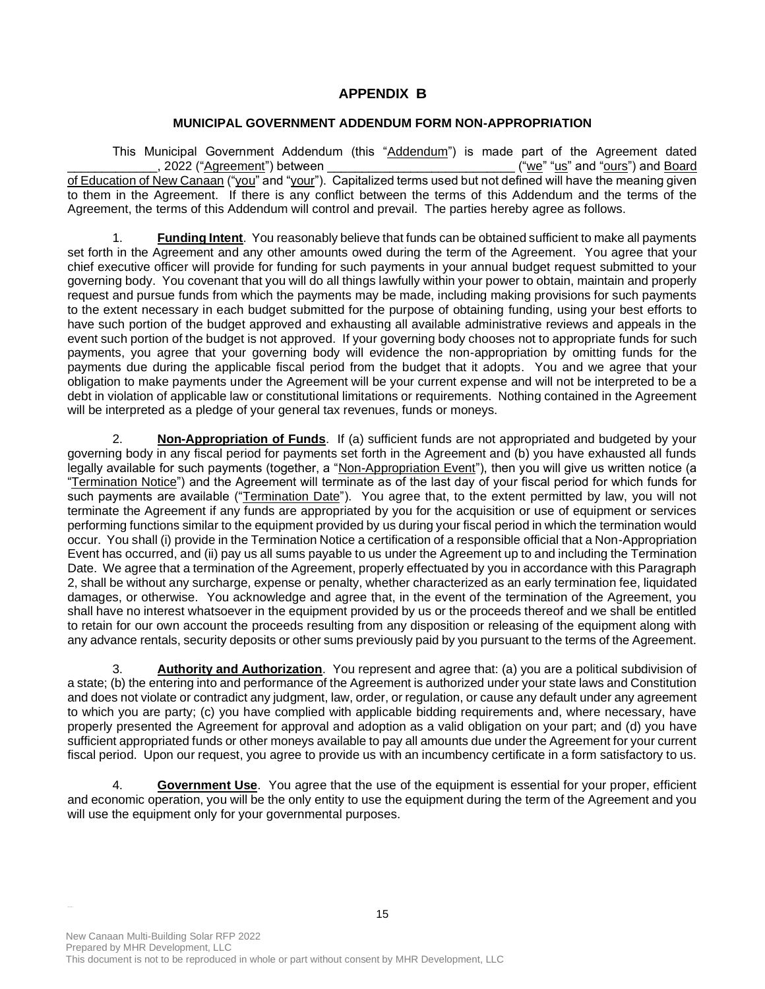# **APPENDIX B**

## **MUNICIPAL GOVERNMENT ADDENDUM FORM NON-APPROPRIATION**

This Municipal Government Addendum (this "Addendum") is made part of the Agreement dated \_\_\_\_\_\_\_\_\_\_\_\_\_, 2022 ("Agreement") between \_\_\_\_\_\_\_\_\_\_\_\_\_\_\_\_\_\_\_\_\_\_\_\_\_\_\_ ("we" "us" and "ours") and Board of Education of New Canaan ("you" and "your"). Capitalized terms used but not defined will have the meaning given to them in the Agreement. If there is any conflict between the terms of this Addendum and the terms of the Agreement, the terms of this Addendum will control and prevail. The parties hereby agree as follows.

1. **Funding Intent**. You reasonably believe that funds can be obtained sufficient to make all payments set forth in the Agreement and any other amounts owed during the term of the Agreement. You agree that your chief executive officer will provide for funding for such payments in your annual budget request submitted to your governing body. You covenant that you will do all things lawfully within your power to obtain, maintain and properly request and pursue funds from which the payments may be made, including making provisions for such payments to the extent necessary in each budget submitted for the purpose of obtaining funding, using your best efforts to have such portion of the budget approved and exhausting all available administrative reviews and appeals in the event such portion of the budget is not approved. If your governing body chooses not to appropriate funds for such payments, you agree that your governing body will evidence the non-appropriation by omitting funds for the payments due during the applicable fiscal period from the budget that it adopts. You and we agree that your obligation to make payments under the Agreement will be your current expense and will not be interpreted to be a debt in violation of applicable law or constitutional limitations or requirements. Nothing contained in the Agreement will be interpreted as a pledge of your general tax revenues, funds or moneys.

2. **Non-Appropriation of Funds**. If (a) sufficient funds are not appropriated and budgeted by your governing body in any fiscal period for payments set forth in the Agreement and (b) you have exhausted all funds legally available for such payments (together, a "Non-Appropriation Event"), then you will give us written notice (a "Termination Notice") and the Agreement will terminate as of the last day of your fiscal period for which funds for such payments are available ("Termination Date"). You agree that, to the extent permitted by law, you will not terminate the Agreement if any funds are appropriated by you for the acquisition or use of equipment or services performing functions similar to the equipment provided by us during your fiscal period in which the termination would occur. You shall (i) provide in the Termination Notice a certification of a responsible official that a Non-Appropriation Event has occurred, and (ii) pay us all sums payable to us under the Agreement up to and including the Termination Date. We agree that a termination of the Agreement, properly effectuated by you in accordance with this Paragraph 2, shall be without any surcharge, expense or penalty, whether characterized as an early termination fee, liquidated damages, or otherwise. You acknowledge and agree that, in the event of the termination of the Agreement, you shall have no interest whatsoever in the equipment provided by us or the proceeds thereof and we shall be entitled to retain for our own account the proceeds resulting from any disposition or releasing of the equipment along with any advance rentals, security deposits or other sums previously paid by you pursuant to the terms of the Agreement.

3. **Authority and Authorization**. You represent and agree that: (a) you are a political subdivision of a state; (b) the entering into and performance of the Agreement is authorized under your state laws and Constitution and does not violate or contradict any judgment, law, order, or regulation, or cause any default under any agreement to which you are party; (c) you have complied with applicable bidding requirements and, where necessary, have properly presented the Agreement for approval and adoption as a valid obligation on your part; and (d) you have sufficient appropriated funds or other moneys available to pay all amounts due under the Agreement for your current fiscal period. Upon our request, you agree to provide us with an incumbency certificate in a form satisfactory to us.

4. **Government Use**. You agree that the use of the equipment is essential for your proper, efficient and economic operation, you will be the only entity to use the equipment during the term of the Agreement and you will use the equipment only for your governmental purposes.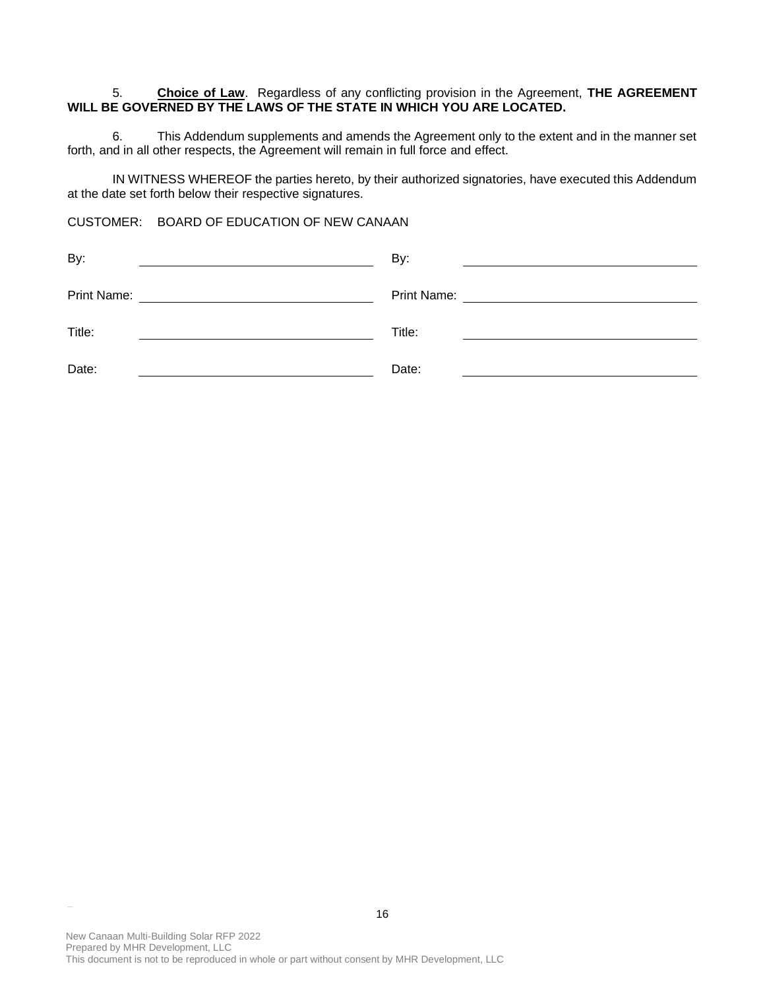## 5. **Choice of Law**. Regardless of any conflicting provision in the Agreement, **THE AGREEMENT WILL BE GOVERNED BY THE LAWS OF THE STATE IN WHICH YOU ARE LOCATED.**

6. This Addendum supplements and amends the Agreement only to the extent and in the manner set forth, and in all other respects, the Agreement will remain in full force and effect.

IN WITNESS WHEREOF the parties hereto, by their authorized signatories, have executed this Addendum at the date set forth below their respective signatures.

CUSTOMER: BOARD OF EDUCATION OF NEW CANAAN

| By:                                                | By:                                                                                                                   |
|----------------------------------------------------|-----------------------------------------------------------------------------------------------------------------------|
|                                                    |                                                                                                                       |
| Print Name:                                        | Print Name:                                                                                                           |
| <u> 1980 - John Stein, Amerikaansk politiker (</u> | <u> 1980 - Jan Samuel Barbara, político e a filosofono de la filosofono de la filosofono de la filosofono de la f</u> |
| Title:                                             | Title:                                                                                                                |
| Date:                                              | Date:                                                                                                                 |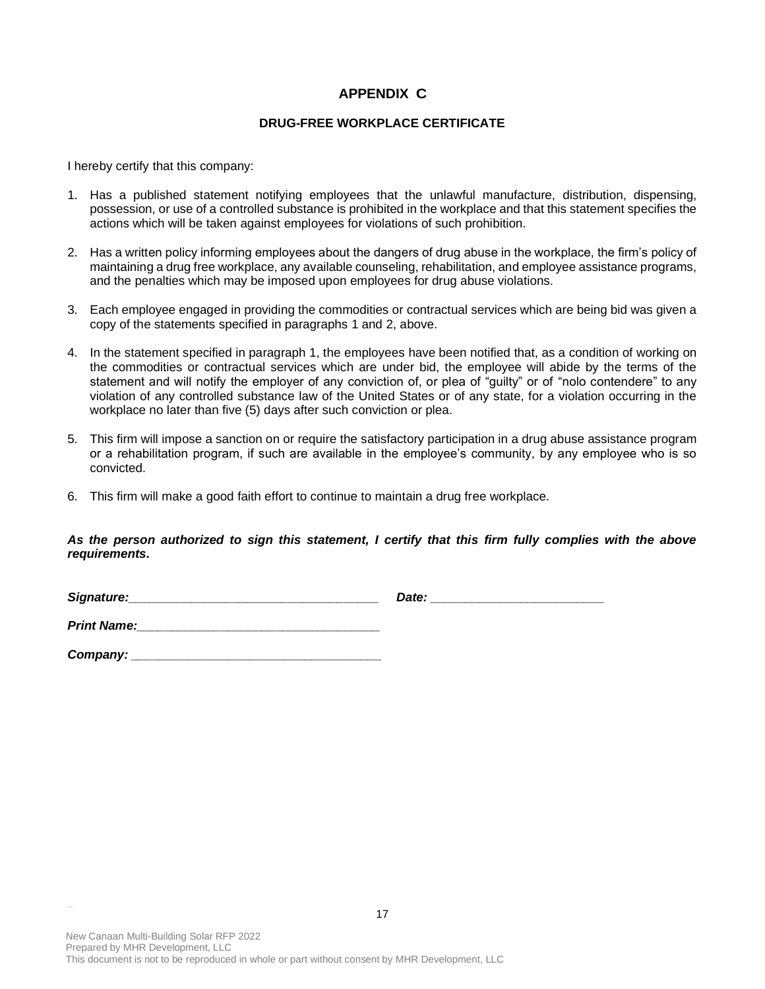# **APPENDIX C**

## **DRUG-FREE WORKPLACE CERTIFICATE**

I hereby certify that this company:

- 1. Has a published statement notifying employees that the unlawful manufacture, distribution, dispensing, possession, or use of a controlled substance is prohibited in the workplace and that this statement specifies the actions which will be taken against employees for violations of such prohibition.
- 2. Has a written policy informing employees about the dangers of drug abuse in the workplace, the firm's policy of maintaining a drug free workplace, any available counseling, rehabilitation, and employee assistance programs, and the penalties which may be imposed upon employees for drug abuse violations.
- 3. Each employee engaged in providing the commodities or contractual services which are being bid was given a copy of the statements specified in paragraphs 1 and 2, above.
- 4. In the statement specified in paragraph 1, the employees have been notified that, as a condition of working on the commodities or contractual services which are under bid, the employee will abide by the terms of the statement and will notify the employer of any conviction of, or plea of "guilty" or of "nolo contendere" to any violation of any controlled substance law of the United States or of any state, for a violation occurring in the workplace no later than five (5) days after such conviction or plea.
- 5. This firm will impose a sanction on or require the satisfactory participation in a drug abuse assistance program or a rehabilitation program, if such are available in the employee's community, by any employee who is so convicted.
- 6. This firm will make a good faith effort to continue to maintain a drug free workplace.

## *As the person authorized to sign this statement, I certify that this firm fully complies with the above requirements.*

| Signature: | Date: |  |
|------------|-------|--|
|            |       |  |

**Print Name:** 

*Company: \_\_\_\_\_\_\_\_\_\_\_\_\_\_\_\_\_\_\_\_\_\_\_\_\_\_\_\_\_\_\_\_\_\_\_\_*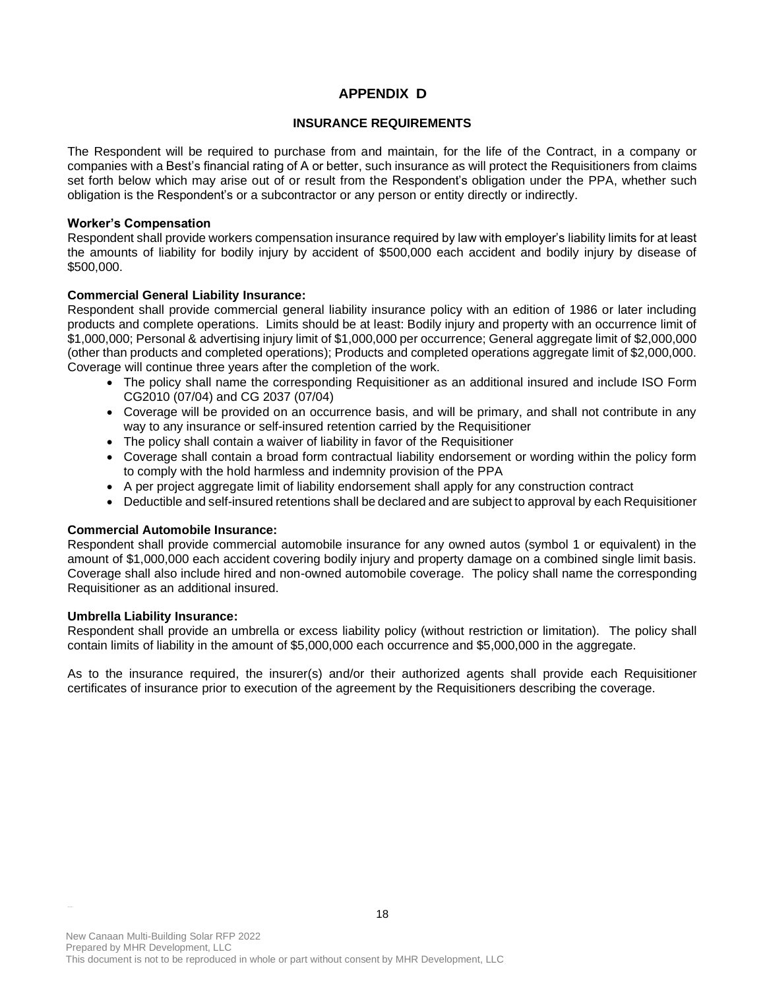# **APPENDIX D**

## **INSURANCE REQUIREMENTS**

The Respondent will be required to purchase from and maintain, for the life of the Contract, in a company or companies with a Best's financial rating of A or better, such insurance as will protect the Requisitioners from claims set forth below which may arise out of or result from the Respondent's obligation under the PPA, whether such obligation is the Respondent's or a subcontractor or any person or entity directly or indirectly.

#### **Worker's Compensation**

Respondent shall provide workers compensation insurance required by law with employer's liability limits for at least the amounts of liability for bodily injury by accident of \$500,000 each accident and bodily injury by disease of \$500,000.

## **Commercial General Liability Insurance:**

Respondent shall provide commercial general liability insurance policy with an edition of 1986 or later including products and complete operations. Limits should be at least: Bodily injury and property with an occurrence limit of \$1,000,000; Personal & advertising injury limit of \$1,000,000 per occurrence; General aggregate limit of \$2,000,000 (other than products and completed operations); Products and completed operations aggregate limit of \$2,000,000. Coverage will continue three years after the completion of the work.

- The policy shall name the corresponding Requisitioner as an additional insured and include ISO Form CG2010 (07/04) and CG 2037 (07/04)
- Coverage will be provided on an occurrence basis, and will be primary, and shall not contribute in any way to any insurance or self-insured retention carried by the Requisitioner
- The policy shall contain a waiver of liability in favor of the Requisitioner
- Coverage shall contain a broad form contractual liability endorsement or wording within the policy form to comply with the hold harmless and indemnity provision of the PPA
- A per project aggregate limit of liability endorsement shall apply for any construction contract
- Deductible and self-insured retentions shall be declared and are subject to approval by each Requisitioner

## **Commercial Automobile Insurance:**

Respondent shall provide commercial automobile insurance for any owned autos (symbol 1 or equivalent) in the amount of \$1,000,000 each accident covering bodily injury and property damage on a combined single limit basis. Coverage shall also include hired and non-owned automobile coverage. The policy shall name the corresponding Requisitioner as an additional insured.

## **Umbrella Liability Insurance:**

Respondent shall provide an umbrella or excess liability policy (without restriction or limitation). The policy shall contain limits of liability in the amount of \$5,000,000 each occurrence and \$5,000,000 in the aggregate.

As to the insurance required, the insurer(s) and/or their authorized agents shall provide each Requisitioner certificates of insurance prior to execution of the agreement by the Requisitioners describing the coverage.